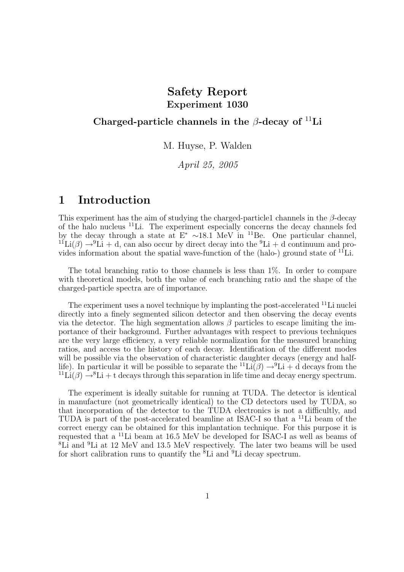## Safety Report Experiment 1030

#### Charged-particle channels in the  $\beta$ -decay of <sup>11</sup>Li

M. Huyse, P. Walden

April 25, 2005

# 1 Introduction

This experiment has the aim of studying the charged-particle1 channels in the  $\beta$ -decay of the halo nucleus <sup>11</sup>Li. The experiment especially concerns the decay channels fed by the decay through a state at  $E^* \sim 18.1$  MeV in <sup>11</sup>Be. One particular channel,  $11^1Li(\beta) \rightarrow 9Li + d$ , can also occur by direct decay into the  $^9Li + d$  continuum and provides information about the spatial wave-function of the (halo-) ground state of  ${}^{11}$ Li.

The total branching ratio to those channels is less than 1%. In order to compare with theoretical models, both the value of each branching ratio and the shape of the charged-particle spectra are of importance.

The experiment uses a novel technique by implanting the post-accelerated <sup>11</sup>Li nuclei directly into a finely segmented silicon detector and then observing the decay events via the detector. The high segmentation allows  $\beta$  particles to escape limiting the importance of their background. Further advantages with respect to previous techniques are the very large efficiency, a very reliable normalization for the measured branching ratios, and access to the history of each decay. Identification of the different modes will be possible via the observation of characteristic daughter decays (energy and halflife). In particular it will be possible to separate the  ${}^{11}\text{Li}(\beta) \rightarrow {}^{9}\text{Li} + d$  decays from the  $11\text{Li}(\beta) \rightarrow 8\text{Li} + t$  decays through this separation in life time and decay energy spectrum.

The experiment is ideally suitable for running at TUDA. The detector is identical in manufacture (not geometrically identical) to the CD detectors used by TUDA, so that incorporation of the detector to the TUDA electronics is not a difficultly, and TUDA is part of the post-accelerated beamline at ISAC-I so that a <sup>11</sup>Li beam of the correct energy can be obtained for this implantation technique. For this purpose it is requested that a <sup>11</sup>Li beam at 16.5 MeV be developed for ISAC-I as well as beams of <sup>8</sup>Li and <sup>9</sup>Li at 12 MeV and 13.5 MeV respectively. The later two beams will be used for short calibration runs to quantify the  ${}^{8}$ Li and  ${}^{9}$ Li decay spectrum.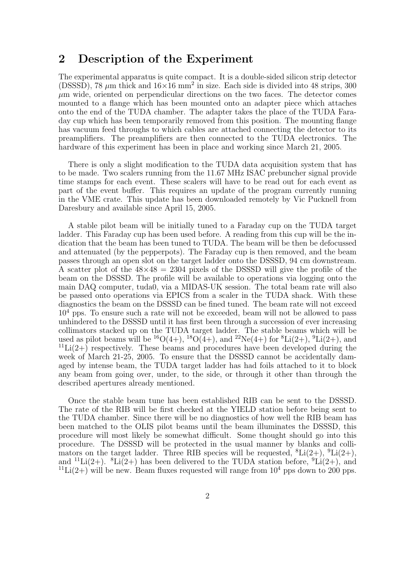#### 2 Description of the Experiment

The experimental apparatus is quite compact. It is a double-sided silicon strip detector (DSSSD), 78  $\mu$ m thick and  $16\times16$  mm<sup>2</sup> in size. Each side is divided into 48 strips, 300  $\mu$ m wide, oriented on perpendicular directions on the two faces. The detector comes mounted to a flange which has been mounted onto an adapter piece which attaches onto the end of the TUDA chamber. The adapter takes the place of the TUDA Faraday cup which has been temporarily removed from this position. The mounting flange has vacuum feed throughs to which cables are attached connecting the detector to its preamplifiers. The preamplifiers are then connected to the TUDA electronics. The hardware of this experiment has been in place and working since March 21, 2005.

There is only a slight modification to the TUDA data acquisition system that has to be made. Two scalers running from the 11.67 MHz ISAC prebuncher signal provide time stamps for each event. These scalers will have to be read out for each event as part of the event buffer. This requires an update of the program currently running in the VME crate. This update has been downloaded remotely by Vic Pucknell from Daresbury and available since April 15, 2005.

A stable pilot beam will be initially tuned to a Faraday cup on the TUDA target ladder. This Faraday cup has been used before. A reading from this cup will be the indication that the beam has been tuned to TUDA. The beam will be then be defocussed and attenuated (by the pepperpots). The Faraday cup is then removed, and the beam passes through an open slot on the target ladder onto the DSSSD, 94 cm downstream. A scatter plot of the  $48\times48 = 2304$  pixels of the DSSSD will give the profile of the beam on the DSSSD. The profile will be available to operations via logging onto the main DAQ computer, tuda0, via a MIDAS-UK session. The total beam rate will also be passed onto operations via EPICS from a scaler in the TUDA shack. With these diagnostics the beam on the DSSSD can be fined tuned. The beam rate will not exceed  $10<sup>4</sup>$  pps. To ensure such a rate will not be exceeded, beam will not be allowed to pass unhindered to the DSSSD until it has first been through a succession of ever increasing collimators stacked up on the TUDA target ladder. The stable beams which will be used as pilot beams will be  ${}^{16}O(4+)$ ,  ${}^{18}O(4+)$ , and  ${}^{22}Ne(4+)$  for  ${}^{8}Li(2+)$ ,  ${}^{9}Li(2+)$ , and  $11$ Li(2+) respectively. These beams and procedures have been developed during the week of March 21-25, 2005. To ensure that the DSSSD cannot be accidentally damaged by intense beam, the TUDA target ladder has had foils attached to it to block any beam from going over, under, to the side, or through it other than through the described apertures already mentioned.

Once the stable beam tune has been established RIB can be sent to the DSSSD. The rate of the RIB will be first checked at the YIELD station before being sent to the TUDA chamber. Since there will be no diagnostics of how well the RIB beam has been matched to the OLIS pilot beams until the beam illuminates the DSSSD, this procedure will most likely be somewhat difficult. Some thought should go into this procedure. The DSSSD will be protected in the usual manner by blanks and collimators on the target ladder. Three RIB species will be requested,  ${}^{8}$ Li(2+),  ${}^{9}$ Li(2+), and <sup>11</sup>Li(2+). <sup>8</sup>Li(2+) has been delivered to the TUDA station before, <sup>9</sup>Li(2+), and  $11$ Li(2+) will be new. Beam fluxes requested will range from  $10^4$  pps down to 200 pps.